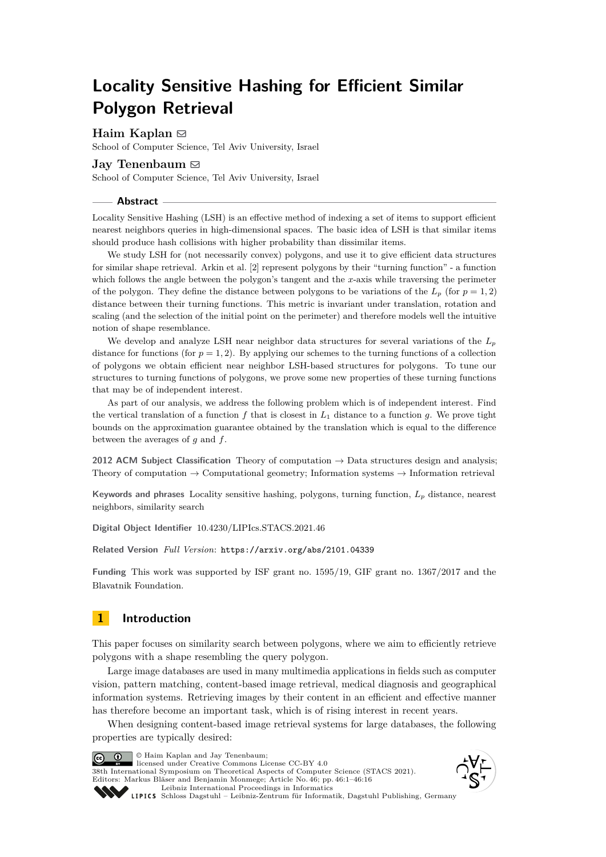# **Locality Sensitive Hashing for Efficient Similar Polygon Retrieval**

## **Haim Kaplan** [!](mailto:haimk@tau.ac.il)

School of Computer Science, Tel Aviv University, Israel

## **Jay Tenenbaum** [!](mailto:jayktenenbaum@gmail.com)

School of Computer Science, Tel Aviv University, Israel

#### **Abstract**

Locality Sensitive Hashing (LSH) is an effective method of indexing a set of items to support efficient nearest neighbors queries in high-dimensional spaces. The basic idea of LSH is that similar items should produce hash collisions with higher probability than dissimilar items.

We study LSH for (not necessarily convex) polygons, and use it to give efficient data structures for similar shape retrieval. Arkin et al. [\[2\]](#page-14-0) represent polygons by their "turning function" - a function which follows the angle between the polygon's tangent and the *x*-axis while traversing the perimeter of the polygon. They define the distance between polygons to be variations of the  $L_p$  (for  $p = 1, 2$ ) distance between their turning functions. This metric is invariant under translation, rotation and scaling (and the selection of the initial point on the perimeter) and therefore models well the intuitive notion of shape resemblance.

We develop and analyze LSH near neighbor data structures for several variations of the *L<sup>p</sup>* distance for functions (for  $p = 1, 2$ ). By applying our schemes to the turning functions of a collection of polygons we obtain efficient near neighbor LSH-based structures for polygons. To tune our structures to turning functions of polygons, we prove some new properties of these turning functions that may be of independent interest.

As part of our analysis, we address the following problem which is of independent interest. Find the vertical translation of a function  $f$  that is closest in  $L_1$  distance to a function  $g$ . We prove tight bounds on the approximation guarantee obtained by the translation which is equal to the difference between the averages of *g* and *f*.

**2012 ACM Subject Classification** Theory of computation → Data structures design and analysis; Theory of computation  $\rightarrow$  Computational geometry; Information systems  $\rightarrow$  Information retrieval

**Keywords and phrases** Locality sensitive hashing, polygons, turning function, *L<sup>p</sup>* distance, nearest neighbors, similarity search

**Digital Object Identifier** [10.4230/LIPIcs.STACS.2021.46](https://doi.org/10.4230/LIPIcs.STACS.2021.46)

**Related Version** *Full Version*: <https://arxiv.org/abs/2101.04339>

**Funding** This work was supported by ISF grant no. 1595/19, GIF grant no. 1367/2017 and the Blavatnik Foundation.

## **1 Introduction**

This paper focuses on similarity search between polygons, where we aim to efficiently retrieve polygons with a shape resembling the query polygon.

Large image databases are used in many multimedia applications in fields such as computer vision, pattern matching, content-based image retrieval, medical diagnosis and geographical information systems. Retrieving images by their content in an efficient and effective manner has therefore become an important task, which is of rising interest in recent years.

When designing content-based image retrieval systems for large databases, the following properties are typically desired:

© Haim Kaplan and Jay Tenenbaum;  $\boxed{6}$  0 licensed under Creative Commons License CC-BY 4.0 38th International Symposium on Theoretical Aspects of Computer Science (STACS 2021). Editors: Markus Bläser and Benjamin Monmege; Article No. 46; pp. 46:1–46:16 [Leibniz International Proceedings in Informatics](https://www.dagstuhl.de/lipics/) [Schloss Dagstuhl – Leibniz-Zentrum für Informatik, Dagstuhl Publishing, Germany](https://www.dagstuhl.de)



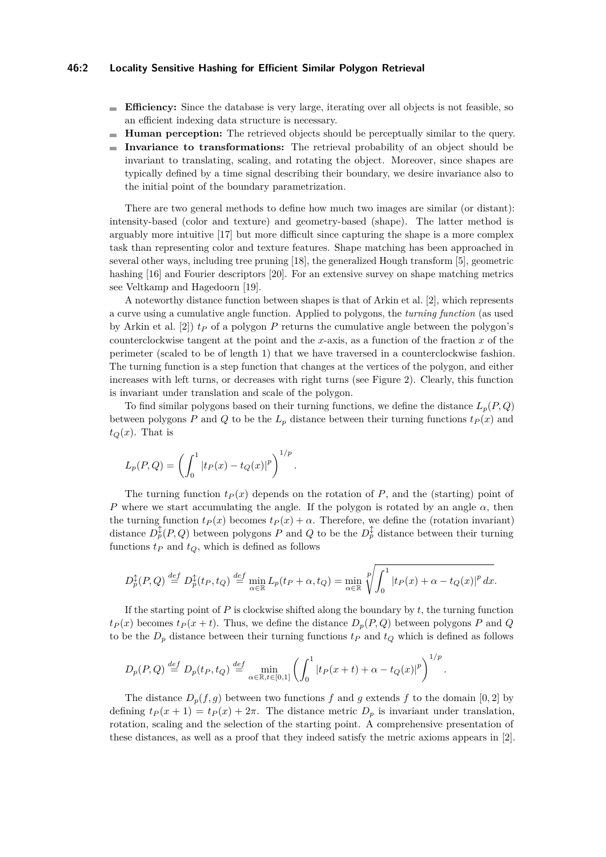#### **46:2 Locality Sensitive Hashing for Efficient Similar Polygon Retrieval**

- **Efficiency:** Since the database is very large, iterating over all objects is not feasible, so an efficient indexing data structure is necessary.
- **Human perception:** The retrieved objects should be perceptually similar to the query.  $\sim$
- **Invariance to transformations:** The retrieval probability of an object should be invariant to translating, scaling, and rotating the object. Moreover, since shapes are typically defined by a time signal describing their boundary, we desire invariance also to the initial point of the boundary parametrization.

There are two general methods to define how much two images are similar (or distant): intensity-based (color and texture) and geometry-based (shape). The latter method is arguably more intuitive [\[17\]](#page-14-1) but more difficult since capturing the shape is a more complex task than representing color and texture features. Shape matching has been approached in several other ways, including tree pruning [\[18\]](#page-15-0), the generalized Hough transform [\[5\]](#page-14-2), geometric hashing [\[16\]](#page-14-3) and Fourier descriptors [\[20\]](#page-15-1). For an extensive survey on shape matching metrics see Veltkamp and Hagedoorn [\[19\]](#page-15-2).

A noteworthy distance function between shapes is that of Arkin et al. [\[2\]](#page-14-0), which represents a curve using a cumulative angle function. Applied to polygons, the *turning function* (as used by Arkin et al.  $[2]$   $t<sub>P</sub>$  of a polygon  $P$  returns the cumulative angle between the polygon's counterclockwise tangent at the point and the *x*-axis, as a function of the fraction *x* of the perimeter (scaled to be of length 1) that we have traversed in a counterclockwise fashion. The turning function is a step function that changes at the vertices of the polygon, and either increases with left turns, or decreases with right turns (see Figure [2\)](#page-6-0). Clearly, this function is invariant under translation and scale of the polygon.

To find similar polygons based on their turning functions, we define the distance  $L_p(P,Q)$ between polygons *P* and *Q* to be the  $L_p$  distance between their turning functions  $t_P(x)$  and  $t_Q(x)$ . That is

$$
L_p(P,Q) = \left(\int_0^1 |t_P(x) - t_Q(x)|^p\right)^{1/p}.
$$

The turning function  $t_P(x)$  depends on the rotation of  $P$ , and the (starting) point of *P* where we start accumulating the angle. If the polygon is rotated by an angle  $\alpha$ , then the turning function  $t_P(x)$  becomes  $t_P(x) + \alpha$ . Therefore, we define the (rotation invariant) distance  $D_p^{\updownarrow}(P,Q)$  between polygons  $P$  and  $Q$  to be the  $D_p^{\updownarrow}$  distance between their turning functions  $t_P$  and  $t_Q$ , which is defined as follows

$$
D_p^{\updownarrow}(P,Q) \stackrel{def}{=} D_p^{\updownarrow}(t_P, t_Q) \stackrel{def}{=} \min_{\alpha \in \mathbb{R}} L_p(t_P + \alpha, t_Q) = \min_{\alpha \in \mathbb{R}} \sqrt[p]{\int_0^1 |t_P(x) + \alpha - t_Q(x)|^p dx}.
$$

If the starting point of  $P$  is clockwise shifted along the boundary by  $t$ , the turning function  $t_P(x)$  becomes  $t_P(x + t)$ . Thus, we define the distance  $D_p(P,Q)$  between polygons *P* and *Q* to be the  $D_p$  distance between their turning functions  $t_p$  and  $t_q$  which is defined as follows

$$
D_p(P,Q) \stackrel{def}{=} D_p(t_P, t_Q) \stackrel{def}{=} \min_{\alpha \in \mathbb{R}, t \in [0,1]} \left( \int_0^1 |t_P(x+t) + \alpha - t_Q(x)|^p \right)^{1/p}.
$$

The distance  $D_p(f, g)$  between two functions  $f$  and  $g$  extends  $f$  to the domain [0, 2] by defining  $t_P(x+1) = t_P(x) + 2\pi$ . The distance metric  $D_p$  is invariant under translation, rotation, scaling and the selection of the starting point. A comprehensive presentation of these distances, as well as a proof that they indeed satisfy the metric axioms appears in [\[2\]](#page-14-0).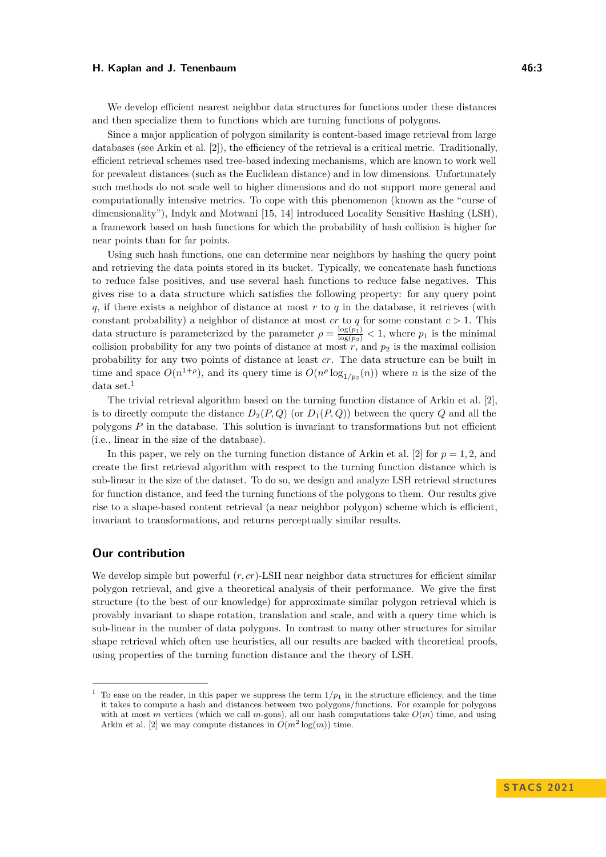We develop efficient nearest neighbor data structures for functions under these distances and then specialize them to functions which are turning functions of polygons.

Since a major application of polygon similarity is content-based image retrieval from large databases (see Arkin et al. [\[2\]](#page-14-0)), the efficiency of the retrieval is a critical metric. Traditionally, efficient retrieval schemes used tree-based indexing mechanisms, which are known to work well for prevalent distances (such as the Euclidean distance) and in low dimensions. Unfortunately such methods do not scale well to higher dimensions and do not support more general and computationally intensive metrics. To cope with this phenomenon (known as the "curse of dimensionality"), Indyk and Motwani [\[15,](#page-14-4) [14\]](#page-14-5) introduced Locality Sensitive Hashing (LSH), a framework based on hash functions for which the probability of hash collision is higher for near points than for far points.

Using such hash functions, one can determine near neighbors by hashing the query point and retrieving the data points stored in its bucket. Typically, we concatenate hash functions to reduce false positives, and use several hash functions to reduce false negatives. This gives rise to a data structure which satisfies the following property: for any query point *q*, if there exists a neighbor of distance at most *r* to *q* in the database, it retrieves (with constant probability) a neighbor of distance at most *cr* to *q* for some constant *c >* 1. This data structure is parameterized by the parameter  $\rho = \frac{\log(p_1)}{\log(p_2)} < 1$ , where  $p_1$  is the minimal collision probability for any two points of distance at most  $r$ , and  $p_2$  is the maximal collision probability for any two points of distance at least *cr*. The data structure can be built in time and space  $O(n^{1+\rho})$ , and its query time is  $O(n^{\rho} \log_{1/p_2}(n))$  where *n* is the size of the data set. $<sup>1</sup>$  $<sup>1</sup>$  $<sup>1</sup>$ </sup>

The trivial retrieval algorithm based on the turning function distance of Arkin et al. [\[2\]](#page-14-0), is to directly compute the distance  $D_2(P,Q)$  (or  $D_1(P,Q)$ ) between the query Q and all the polygons *P* in the database. This solution is invariant to transformations but not efficient (i.e., linear in the size of the database).

In this paper, we rely on the turning function distance of Arkin et al. [\[2\]](#page-14-0) for  $p = 1, 2$ , and create the first retrieval algorithm with respect to the turning function distance which is sub-linear in the size of the dataset. To do so, we design and analyze LSH retrieval structures for function distance, and feed the turning functions of the polygons to them. Our results give rise to a shape-based content retrieval (a near neighbor polygon) scheme which is efficient, invariant to transformations, and returns perceptually similar results.

#### **Our contribution**

We develop simple but powerful (*r, cr*)-LSH near neighbor data structures for efficient similar polygon retrieval, and give a theoretical analysis of their performance. We give the first structure (to the best of our knowledge) for approximate similar polygon retrieval which is provably invariant to shape rotation, translation and scale, and with a query time which is sub-linear in the number of data polygons. In contrast to many other structures for similar shape retrieval which often use heuristics, all our results are backed with theoretical proofs, using properties of the turning function distance and the theory of LSH.

<span id="page-2-0"></span>To ease on the reader, in this paper we suppress the term  $1/p_1$  in the structure efficiency, and the time it takes to compute a hash and distances between two polygons/functions. For example for polygons with at most *m* vertices (which we call *m*-gons), all our hash computations take  $O(m)$  time, and using Arkin et al. [\[2\]](#page-14-0) we may compute distances in  $O(m^2 \log(m))$  time.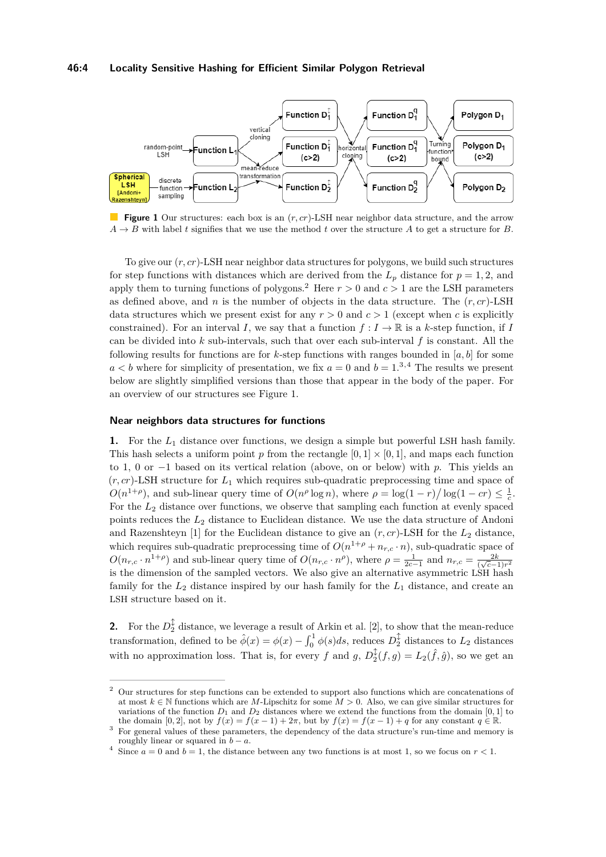#### **46:4 Locality Sensitive Hashing for Efficient Similar Polygon Retrieval**

<span id="page-3-3"></span>

**Figure 1** Our structures: each box is an (*r, cr*)-LSH near neighbor data structure, and the arrow  $A \rightarrow B$  with label *t* signifies that we use the method *t* over the structure *A* to get a structure for *B*.

To give our (*r, cr*)-LSH near neighbor data structures for polygons, we build such structures for step functions with distances which are derived from the  $L_p$  distance for  $p = 1, 2$ , and apply them to turning functions of polygons.<sup>[2](#page-3-0)</sup> Here  $r > 0$  and  $c > 1$  are the LSH parameters as defined above, and  $n$  is the number of objects in the data structure. The  $(r, cr)$ -LSH data structures which we present exist for any  $r > 0$  and  $c > 1$  (except when c is explicitly constrained). For an interval *I*, we say that a function  $f: I \to \mathbb{R}$  is a *k*-step function, if *I* can be divided into *k* sub-intervals, such that over each sub-interval *f* is constant. All the following results for functions are for *k*-step functions with ranges bounded in [*a, b*] for some  $a < b$  where for simplicity of presentation, we fix  $a = 0$  and  $b = 1^{3,4}$  $b = 1^{3,4}$  $b = 1^{3,4}$  $b = 1^{3,4}$  $b = 1^{3,4}$ . The results we present below are slightly simplified versions than those that appear in the body of the paper. For an overview of our structures see Figure [1.](#page-3-3)

#### **Near neighbors data structures for functions**

**1.** For the *L*<sup>1</sup> distance over functions, we design a simple but powerful LSH hash family. This hash selects a uniform point *p* from the rectangle  $[0, 1] \times [0, 1]$ , and maps each function to 1, 0 or −1 based on its vertical relation (above, on or below) with *p*. This yields an (*r, cr*)-LSH structure for *L*<sup>1</sup> which requires sub-quadratic preprocessing time and space of  $O(n^{1+\rho})$ , and sub-linear query time of  $O(n^{\rho} \log n)$ , where  $\rho = \log(1-r)/\log(1-cr) \leq \frac{1}{c}$ . For the  $L_2$  distance over functions, we observe that sampling each function at evenly spaced points reduces the *L*<sup>2</sup> distance to Euclidean distance. We use the data structure of Andoni and Razenshteyn [\[1\]](#page-14-6) for the Euclidean distance to give an  $(r, cr)$ -LSH for the  $L_2$  distance, which requires sub-quadratic preprocessing time of  $O(n^{1+\rho} + n_{r,c} \cdot n)$ , sub-quadratic space of  $O(n_{r,c} \cdot n^{1+\rho})$  and sub-linear query time of  $O(n_{r,c} \cdot n^{\rho})$ , where  $\rho = \frac{1}{2c-1}$  and  $n_{r,c} = \frac{2k}{(\sqrt{c}-1)r^2}$ is the dimension of the sampled vectors. We also give an alternative asymmetric LSH hash family for the *L*<sup>2</sup> distance inspired by our hash family for the *L*<sup>1</sup> distance, and create an LSH structure based on it.

**2.** For the  $D_2^{\updownarrow}$  distance, we leverage a result of Arkin et al. [\[2\]](#page-14-0), to show that the mean-reduce transformation, defined to be  $\hat{\phi}(x) = \phi(x) - \int_0^1 \phi(s)ds$ , reduces  $D_2^{\updownarrow}$  distances to  $L_2$  distances with no approximation loss. That is, for every *f* and *g*,  $D_2^{\updownarrow}(f,g) = L_2(\hat{f}, \hat{g})$ , so we get an

<span id="page-3-0"></span><sup>2</sup> Our structures for step functions can be extended to support also functions which are concatenations of at most  $k \in \mathbb{N}$  functions which are *M*-Lipschitz for some  $M > 0$ . Also, we can give similar structures for variations of the function  $D_1$  and  $D_2$  distances where we extend the functions from the domain [0, 1] to the domain  $[0,2]$ , not by  $f(x) = f(x-1) + 2\pi$ , but by  $f(x) = f(x-1) + q$  for any constant  $q \in \mathbb{R}$ .

<span id="page-3-1"></span><sup>3</sup> For general values of these parameters, the dependency of the data structure's run-time and memory is roughly linear or squared in  $b - a$ .

<span id="page-3-2"></span><sup>&</sup>lt;sup>4</sup> Since  $a = 0$  and  $b = 1$ , the distance between any two functions is at most 1, so we focus on  $r < 1$ .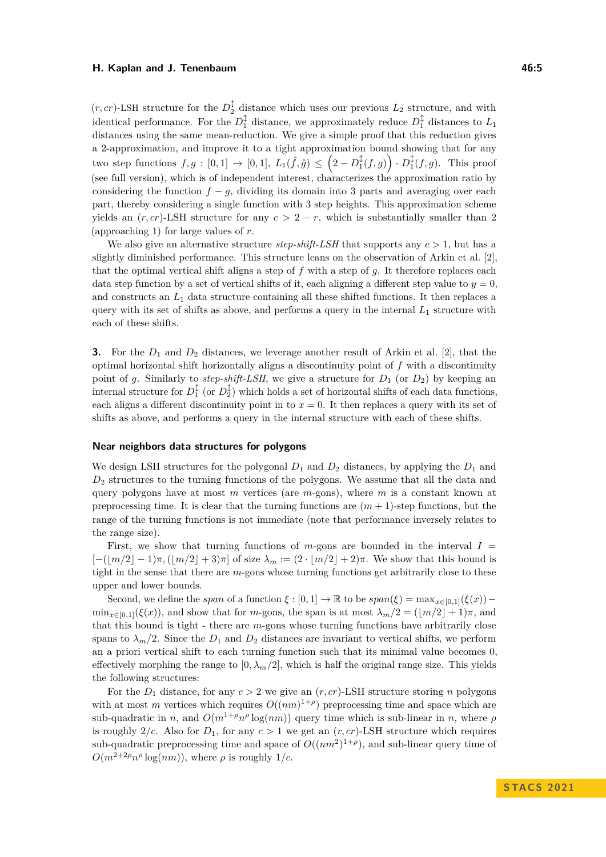$(r, cr)$ -LSH structure for the  $D_2^{\updownarrow}$  distance which uses our previous  $L_2$  structure, and with identical performance. For the  $D_1^{\updownarrow}$  distance, we approximately reduce  $D_1^{\updownarrow}$  distances to  $L_1$ distances using the same mean-reduction. We give a simple proof that this reduction gives a 2-approximation, and improve it to a tight approximation bound showing that for any two step functions  $f, g : [0,1] \rightarrow [0,1], L_1(\hat{f}, \hat{g}) \leq (2 - D_1^{\updownarrow}(f,g)) \cdot D_1^{\updownarrow}(f,g)$ . This proof (see full version), which is of independent interest, characterizes the approximation ratio by considering the function  $f - g$ , dividing its domain into 3 parts and averaging over each part, thereby considering a single function with 3 step heights. This approximation scheme yields an  $(r, cr)$ -LSH structure for any  $c > 2 - r$ , which is substantially smaller than 2 (approaching 1) for large values of *r*.

We also give an alternative structure *step-shift-LSH* that supports any  $c > 1$ , but has a slightly diminished performance. This structure leans on the observation of Arkin et al. [\[2\]](#page-14-0), that the optimal vertical shift aligns a step of *f* with a step of *g*. It therefore replaces each data step function by a set of vertical shifts of it, each aligning a different step value to  $y = 0$ , and constructs an *L*<sup>1</sup> data structure containing all these shifted functions. It then replaces a query with its set of shifts as above, and performs a query in the internal  $L_1$  structure with each of these shifts.

**3.** For the *D*<sup>1</sup> and *D*<sup>2</sup> distances, we leverage another result of Arkin et al. [\[2\]](#page-14-0), that the optimal horizontal shift horizontally aligns a discontinuity point of *f* with a discontinuity point of g. Similarly to *step-shift-LSH*, we give a structure for  $D_1$  (or  $D_2$ ) by keeping an internal structure for  $D_1^{\updownarrow}$  (or  $D_2^{\updownarrow}$ ) which holds a set of horizontal shifts of each data functions, each aligns a different discontinuity point in to  $x = 0$ . It then replaces a query with its set of shifts as above, and performs a query in the internal structure with each of these shifts.

#### **Near neighbors data structures for polygons**

We design LSH structures for the polygonal  $D_1$  and  $D_2$  distances, by applying the  $D_1$  and *D*<sup>2</sup> structures to the turning functions of the polygons. We assume that all the data and query polygons have at most *m* vertices (are *m*-gons), where *m* is a constant known at preprocessing time. It is clear that the turning functions are  $(m + 1)$ -step functions, but the range of the turning functions is not immediate (note that performance inversely relates to the range size).

First, we show that turning functions of  $m$ -gons are bounded in the interval  $I =$  $[-(\vert m/2 \vert -1)\pi, (\vert m/2 \vert +3)\pi]$  of size  $\lambda_m := (2 \cdot \vert m/2 \vert +2)\pi$ . We show that this bound is tight in the sense that there are *m*-gons whose turning functions get arbitrarily close to these upper and lower bounds.

Second, we define the *span* of a function  $\xi$  : [0, 1]  $\rightarrow \mathbb{R}$  to be  $span(\xi) = max_{x \in [0,1]}(\xi(x))$  $\min_{x\in[0,1]}(\xi(x))$ , and show that for *m*-gons, the span is at most  $\lambda_m/2 = (\lfloor m/2 \rfloor + 1)\pi$ , and that this bound is tight - there are *m*-gons whose turning functions have arbitrarily close spans to  $\lambda_m/2$ . Since the  $D_1$  and  $D_2$  distances are invariant to vertical shifts, we perform an a priori vertical shift to each turning function such that its minimal value becomes 0, effectively morphing the range to  $[0, \lambda_m/2]$ , which is half the original range size. This yields the following structures:

For the  $D_1$  distance, for any  $c > 2$  we give an  $(r, cr)$ -LSH structure storing *n* polygons with at most *m* vertices which requires  $O((nm)^{1+\rho})$  preprocessing time and space which are sub-quadratic in *n*, and  $O(m^{1+\rho} n^{\rho} \log(nm))$  query time which is sub-linear in *n*, where  $\rho$ is roughly  $2/c$ . Also for  $D_1$ , for any  $c > 1$  we get an  $(r, cr)$ -LSH structure which requires sub-quadratic preprocessing time and space of  $O((nm^2)^{1+\rho})$ , and sub-linear query time of  $O(m^{2+2\rho} n^{\rho} \log(nm))$ , where  $\rho$  is roughly 1/c.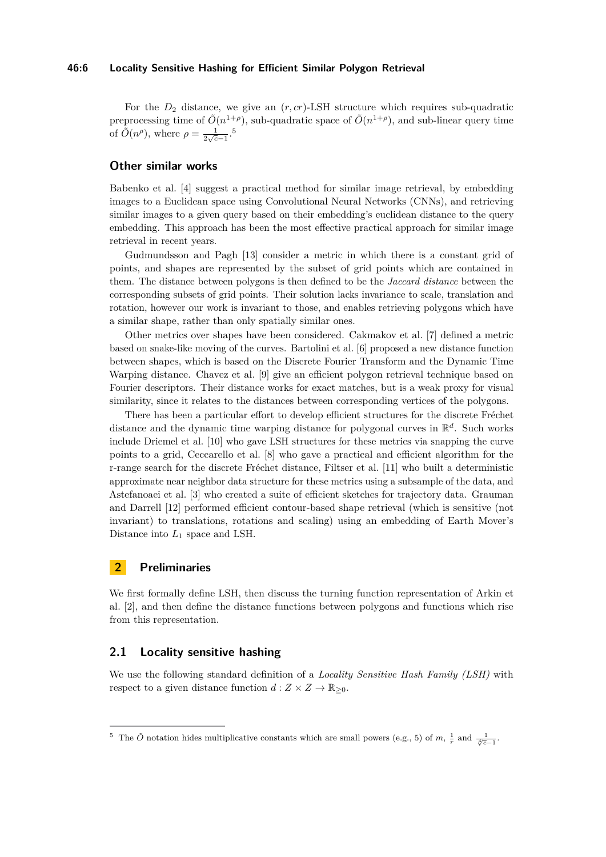For the  $D_2$  distance, we give an  $(r, cr)$ -LSH structure which requires sub-quadratic preprocessing time of  $\tilde{O}(n^{1+\rho})$ , sub-quadratic space of  $\tilde{O}(n^{1+\rho})$ , and sub-linear query time of  $\tilde{O}(n^{\rho})$ , where  $\rho = \frac{1}{2\sqrt{c}-1}$ .<sup>[5](#page-5-0)</sup>

## **Other similar works**

Babenko et al. [\[4\]](#page-14-7) suggest a practical method for similar image retrieval, by embedding images to a Euclidean space using Convolutional Neural Networks (CNNs), and retrieving similar images to a given query based on their embedding's euclidean distance to the query embedding. This approach has been the most effective practical approach for similar image retrieval in recent years.

Gudmundsson and Pagh [\[13\]](#page-14-8) consider a metric in which there is a constant grid of points, and shapes are represented by the subset of grid points which are contained in them. The distance between polygons is then defined to be the *Jaccard distance* between the corresponding subsets of grid points. Their solution lacks invariance to scale, translation and rotation, however our work is invariant to those, and enables retrieving polygons which have a similar shape, rather than only spatially similar ones.

Other metrics over shapes have been considered. Cakmakov et al. [\[7\]](#page-14-9) defined a metric based on snake-like moving of the curves. Bartolini et al. [\[6\]](#page-14-10) proposed a new distance function between shapes, which is based on the Discrete Fourier Transform and the Dynamic Time Warping distance. Chavez et al. [\[9\]](#page-14-11) give an efficient polygon retrieval technique based on Fourier descriptors. Their distance works for exact matches, but is a weak proxy for visual similarity, since it relates to the distances between corresponding vertices of the polygons.

There has been a particular effort to develop efficient structures for the discrete Fréchet distance and the dynamic time warping distance for polygonal curves in R *d* . Such works include Driemel et al. [\[10\]](#page-14-12) who gave LSH structures for these metrics via snapping the curve points to a grid, Ceccarello et al. [\[8\]](#page-14-13) who gave a practical and efficient algorithm for the r-range search for the discrete Fréchet distance, Filtser et al. [\[11\]](#page-14-14) who built a deterministic approximate near neighbor data structure for these metrics using a subsample of the data, and Astefanoaei et al. [\[3\]](#page-14-15) who created a suite of efficient sketches for trajectory data. Grauman and Darrell [\[12\]](#page-14-16) performed efficient contour-based shape retrieval (which is sensitive (not invariant) to translations, rotations and scaling) using an embedding of Earth Mover's Distance into *L*<sup>1</sup> space and LSH.

## **2 Preliminaries**

We first formally define LSH, then discuss the turning function representation of Arkin et al. [\[2\]](#page-14-0), and then define the distance functions between polygons and functions which rise from this representation.

## **2.1 Locality sensitive hashing**

We use the following standard definition of a *Locality Sensitive Hash Family (LSH)* with respect to a given distance function  $d: Z \times Z \to \mathbb{R}_{\geq 0}$ .

<span id="page-5-0"></span><sup>&</sup>lt;sup>5</sup> The  $\tilde{O}$  notation hides multiplicative constants which are small powers (e.g., 5) of  $m, \frac{1}{r}$  and  $\frac{1}{\sqrt[4]{c}-1}$ .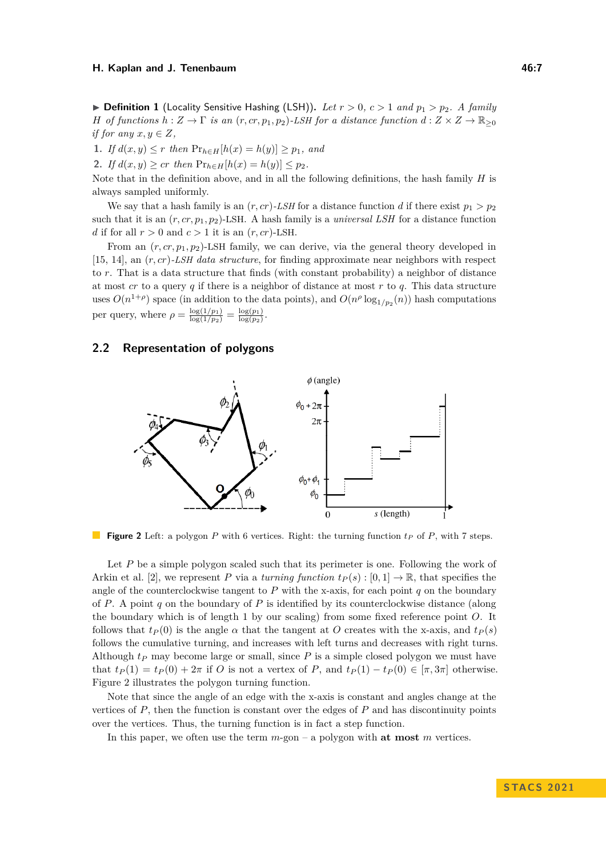$\triangleright$  **Definition 1** (Locality Sensitive Hashing (LSH)). Let  $r > 0$ ,  $c > 1$  and  $p_1 > p_2$ . A family *H of functions*  $h: Z \to \Gamma$  *is an*  $(r, cr, p_1, p_2)$ *-LSH for a distance function*  $d: Z \times Z \to \mathbb{R}_{\geq 0}$ *if for any*  $x, y \in Z$ ,

**1.** *If d*(*x, y*) ≤ *r then*  $Pr_{h \in H}[h(x) = h(y)] \geq p_1$ *, and* 

**2.** *If*  $d(x, y) \geq cr$  *then*  $Pr_{h \in H}[h(x) = h(y)] \leq p_2$ .

Note that in the definition above, and in all the following definitions, the hash family *H* is always sampled uniformly.

We say that a hash family is an  $(r, cr)$ -*LSH* for a distance function *d* if there exist  $p_1 > p_2$ such that it is an  $(r, cr, p_1, p_2)$ -LSH. A hash family is a *universal LSH* for a distance function *d* if for all  $r > 0$  and  $c > 1$  it is an  $(r, cr)$ -LSH.

From an  $(r, cr, p_1, p_2)$ -LSH family, we can derive, via the general theory developed in [\[15,](#page-14-4) [14\]](#page-14-5), an (*r, cr*)*-LSH data structure*, for finding approximate near neighbors with respect to *r*. That is a data structure that finds (with constant probability) a neighbor of distance at most *cr* to a query *q* if there is a neighbor of distance at most *r* to *q*. This data structure uses  $O(n^{1+\rho})$  space (in addition to the data points), and  $O(n^{\rho} \log_{1/p_2}(n))$  hash computations per query, where  $\rho = \frac{\log(1/p_1)}{\log(1/p_2)} = \frac{\log(p_1)}{\log(p_2)}$  $\frac{\log(p_1)}{\log(p_2)}$ 

#### <span id="page-6-0"></span>**2.2 Representation of polygons**



**Figure 2** Left: a polygon *P* with 6 vertices. Right: the turning function *t<sup>P</sup>* of *P*, with 7 steps.

Let *P* be a simple polygon scaled such that its perimeter is one. Following the work of Arkin et al. [\[2\]](#page-14-0), we represent *P* via a *turning function*  $t_P(s) : [0,1] \to \mathbb{R}$ , that specifies the angle of the counterclockwise tangent to  $P$  with the x-axis, for each point  $q$  on the boundary of *P*. A point *q* on the boundary of *P* is identified by its counterclockwise distance (along the boundary which is of length 1 by our scaling) from some fixed reference point *O*. It follows that  $t_P(0)$  is the angle  $\alpha$  that the tangent at *O* creates with the x-axis, and  $t_P(s)$ follows the cumulative turning, and increases with left turns and decreases with right turns. Although  $t<sub>P</sub>$  may become large or small, since  $P$  is a simple closed polygon we must have that  $t_P(1) = t_P(0) + 2\pi$  if *O* is not a vertex of *P*, and  $t_P(1) - t_P(0) \in [\pi, 3\pi]$  otherwise. Figure [2](#page-6-0) illustrates the polygon turning function.

Note that since the angle of an edge with the x-axis is constant and angles change at the vertices of *P*, then the function is constant over the edges of *P* and has discontinuity points over the vertices. Thus, the turning function is in fact a step function.

In this paper, we often use the term *m*-gon – a polygon with **at most** *m* vertices.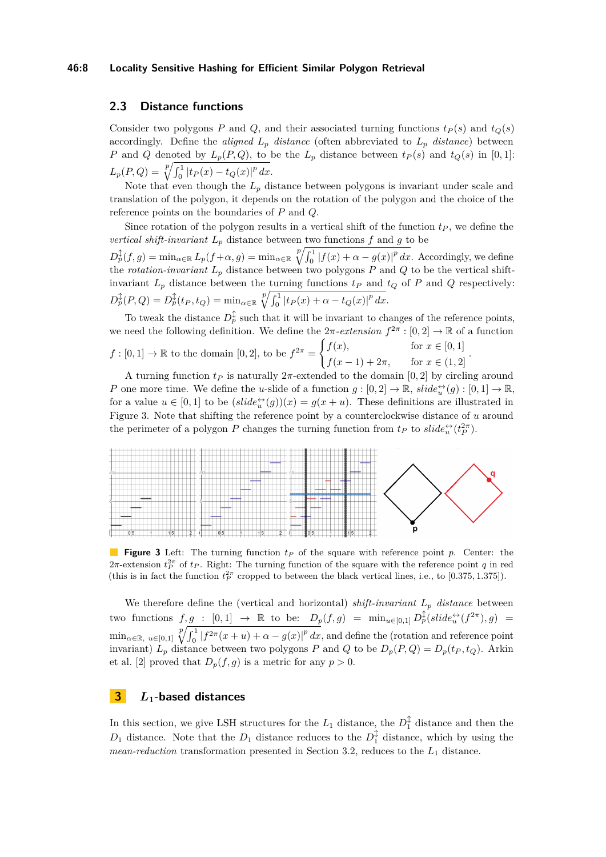#### **46:8 Locality Sensitive Hashing for Efficient Similar Polygon Retrieval**

## **2.3 Distance functions**

Consider two polygons *P* and *Q*, and their associated turning functions  $t_P(s)$  and  $t_Q(s)$ accordingly. Define the *aligned*  $L_p$  *distance* (often abbreviated to  $L_p$  *distance*) between *P* and *Q* denoted by  $L_p(P,Q)$ , to be the  $L_p$  distance between  $t_P(s)$  and  $t_Q(s)$  in [0, 1]:  $L_p(P,Q) = \sqrt[p]{\int_0^1 |t_P(x) - t_Q(x)|^p dx}.$ 

Note that even though the  $L_p$  distance between polygons is invariant under scale and translation of the polygon, it depends on the rotation of the polygon and the choice of the reference points on the boundaries of *P* and *Q*.

Since rotation of the polygon results in a vertical shift of the function  $t<sub>P</sub>$ , we define the *vertical shift-invariant*  $L_p$  distance between two functions  $f$  and  $q$  to be

 $D_p^{\updownarrow}(f,g) = \min_{\alpha \in \mathbb{R}} L_p(f + \alpha, g) = \min_{\alpha \in \mathbb{R}} \sqrt[p]{\int_0^1 |f(x) + \alpha - g(x)|^p dx}$ . Accordingly, we define the *rotation-invariant L<sup>p</sup>* distance between two polygons *P* and *Q* to be the vertical shiftinvariant  $L_p$  distance between the turning functions  $t_p$  and  $t_q$  of  $P$  and  $Q$  respectively:  $D_p^{\updownarrow}(P,Q) = D_p^{\updownarrow}(t_P, t_Q) = \min_{\alpha \in \mathbb{R}} \sqrt[p]{\int_0^1 |t_P(x) + \alpha - t_Q(x)|^p dx}.$ 

To tweak the distance  $D_p^{\updownarrow}$  such that it will be invariant to changes of the reference points, we need the following definition. We define the  $2\pi$ -extension  $f^{2\pi} : [0,2] \to \mathbb{R}$  of a function  $f:[0,1] \to \mathbb{R}$  to the domain  $[0,2]$ , to be  $f^{2\pi} =$  $\int f(x)$ , for  $x \in [0, 1]$  $f(x-1) + 2\pi$ , for  $x \in (1,2]$ *.*

A turning function  $t_P$  is naturally  $2\pi$ -extended to the domain [0, 2] by circling around *P* one more time. We define the *u*-slide of a function  $g: [0,2] \to \mathbb{R}$ ,  $slide_{u}^{L}(g): [0,1] \to \mathbb{R}$ , for a value  $u \in [0,1]$  to be  $\left(\text{slide}_{u}^{\leftrightarrow}(g)\right)(x) = g(x+u)$ . These definitions are illustrated in Figure [3.](#page-7-0) Note that shifting the reference point by a counterclockwise distance of *u* around the perimeter of a polygon *P* changes the turning function from  $t_P$  to  $slide_i^{\leftrightarrow}(t_P^{2\pi})$ .

<span id="page-7-0"></span>

**Figure 3** Left: The turning function *t<sup>P</sup>* of the square with reference point *p*. Center: the  $2\pi$ -extension  $t_P^{2\pi}$  of  $t_P$ . Right: The turning function of the square with the reference point *q* in red (this is in fact the function  $t_P^{2\pi}$  cropped to between the black vertical lines, i.e., to [0.375, 1.375]).

We therefore define the (vertical and horizontal) *shift-invariant*  $L_p$  *distance* between  $\text{two functions } f, g : [0,1] \rightarrow \mathbb{R} \text{ to be: } D_p(f,g) = \min_{u \in [0,1]} D_p^{\updownarrow}(slide_u^{\leftrightarrow}(f^{2\pi}), g) =$  $\min_{\alpha \in \mathbb{R}, u \in [0,1]} \sqrt[p]{\int_0^1 |f^{2\pi}(x+u) + \alpha - g(x)|^p} dx$ , and define the (rotation and reference point invariant)  $L_p$  distance between two polygons *P* and *Q* to be  $D_p(P,Q) = D_p(t_P, t_Q)$ . Arkin et al. [\[2\]](#page-14-0) proved that  $D_p(f, g)$  is a metric for any  $p > 0$ .

## **3** *L***1-based distances**

In this section, we give LSH structures for the  $L_1$  distance, the  $D_1^{\updownarrow}$  distance and then the  $D_1$  distance. Note that the  $D_1$  distance reduces to the  $D_1^{\updownarrow}$  distance, which by using the *mean-reduction* transformation presented in Section [3.2,](#page-9-0) reduces to the *L*<sup>1</sup> distance.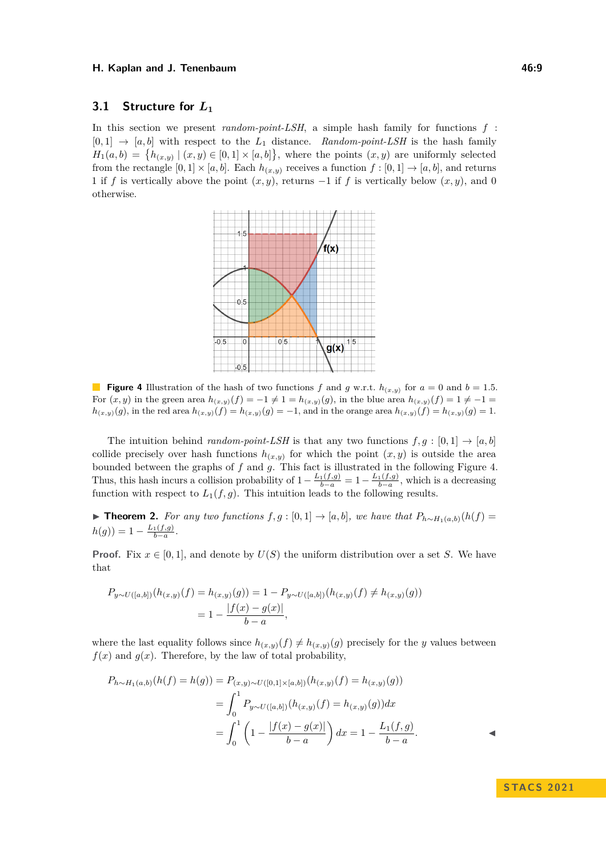## <span id="page-8-2"></span>**3.1 Structure for** *L***<sup>1</sup>**

<span id="page-8-0"></span>In this section we present *random-point-LSH*, a simple hash family for functions *f* :  $[0,1] \rightarrow [a,b]$  with respect to the  $L_1$  distance. *Random-point-LSH* is the hash family  $H_1(a,b) = \{h_{(x,y)} | (x,y) \in [0,1] \times [a,b] \},$  where the points  $(x,y)$  are uniformly selected from the rectangle  $[0,1] \times [a,b]$ . Each  $h_{(x,y)}$  receives a function  $f : [0,1] \to [a,b]$ , and returns 1 if *f* is vertically above the point  $(x, y)$ , returns  $-1$  if *f* is vertically below  $(x, y)$ , and 0 otherwise.



**Figure 4** Illustration of the hash of two functions *f* and *g* w.r.t.  $h_{(x,y)}$  for  $a = 0$  and  $b = 1.5$ . For  $(x, y)$  in the green area  $h_{(x,y)}(f) = -1 \neq 1 = h_{(x,y)}(g)$ , in the blue area  $h_{(x,y)}(f) = 1 \neq -1$  $h(x,y)(g)$ , in the red area  $h(x,y)(f) = h(x,y)(g) = -1$ , and in the orange area  $h(x,y)(f) = h(x,y)(g) = 1$ .

The intuition behind *random-point-LSH* is that any two functions  $f, g : [0, 1] \rightarrow [a, b]$ collide precisely over hash functions  $h_{(x,y)}$  for which the point  $(x, y)$  is outside the area bounded between the graphs of *f* and *g*. This fact is illustrated in the following Figure [4.](#page-8-0) Thus, this hash incurs a collision probability of  $1 - \frac{L_1(f,g)}{b-a} = 1 - \frac{L_1(f,g)}{b-a}$ , which is a decreasing function with respect to  $L_1(f,g)$ . This intuition leads to the following results.

<span id="page-8-1"></span>▶ **Theorem 2.** For any two functions  $f, g : [0, 1] \rightarrow [a, b]$ , we have that  $P_{h \sim H_1(a, b)}(h(f))$  $h(g)) = 1 - \frac{L_1(f,g)}{b-a}.$ 

**Proof.** Fix  $x \in [0, 1]$ , and denote by  $U(S)$  the uniform distribution over a set *S*. We have that

$$
P_{y \sim U([a,b])}(h_{(x,y)}(f) = h_{(x,y)}(g)) = 1 - P_{y \sim U([a,b])}(h_{(x,y)}(f) \neq h_{(x,y)}(g))
$$
  
= 
$$
1 - \frac{|f(x) - g(x)|}{b - a},
$$

where the last equality follows since  $h_{(x,y)}(f) \neq h_{(x,y)}(g)$  precisely for the *y* values between  $f(x)$  and  $g(x)$ . Therefore, by the law of total probability,

$$
P_{h \sim H_1(a,b)}(h(f) = h(g)) = P_{(x,y) \sim U([0,1] \times [a,b])}(h_{(x,y)}(f) = h_{(x,y)}(g))
$$
  
= 
$$
\int_0^1 P_{y \sim U([a,b])}(h_{(x,y)}(f) = h_{(x,y)}(g))dx
$$
  
= 
$$
\int_0^1 \left(1 - \frac{|f(x) - g(x)|}{b - a}\right)dx = 1 - \frac{L_1(f,g)}{b - a}.
$$

**S TAC S 2 0 2 1**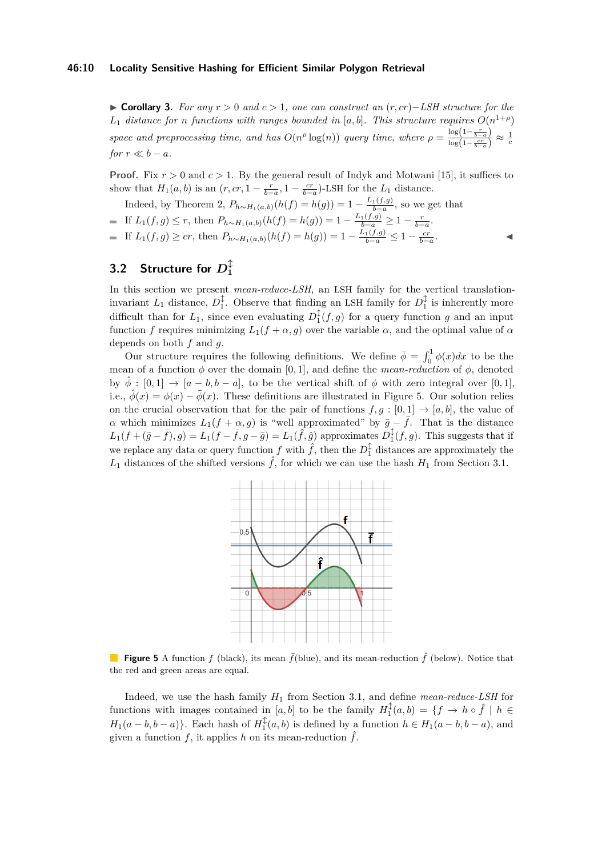▶ **Corollary 3.** *For any r >* 0 *and c >* 1*, one can construct an* (*r, cr*)−*LSH structure for the*  $L_1$  *distance for n functions with ranges bounded in* [a, b]. This structure requires  $O(n^{1+\rho})$ *space and preprocessing time, and has*  $O(n^{\rho} \log(n))$  *query time, where*  $\rho = \frac{\log(1-\frac{r}{b-a})}{\log(1-\frac{cr}{c})}$  $\frac{\log(1-\frac{c}{b-a})}{\log(1-\frac{cr}{b-a})} \approx \frac{1}{c}$ *for*  $r \ll b - a$ *.* 

**Proof.** Fix  $r > 0$  and  $c > 1$ . By the general result of Indyk and Motwani [\[15\]](#page-14-4), it suffices to show that  $H_1(a, b)$  is an  $(r, cr, 1 - \frac{r}{b-a}, 1 - \frac{cr}{b-a})$ -LSH for the  $L_1$  distance.

Indeed, by Theorem [2,](#page-8-1)  $P_{h \sim H_1(a,b)}(h(f) = h(g)) = 1 - \frac{L_1(f,g)}{b-a}$ , so we get that If  $L_1(f, g) \le r$ , then  $P_{h \sim H_1(a,b)}(h(f) = h(g)) = 1 - \frac{L_1(f,g)}{b-a} \ge 1 - \frac{r}{b-a}$ . If  $L_1(f, g) \geq cr$ , then  $P_{h \sim H_1(a,b)}(h(f) = h(g)) = 1 - \frac{L_1(f,g)}{b-a} \leq 1 - \frac{cr}{b-a}$ . ◀

#### <span id="page-9-0"></span> $3.2$  Structure for  $D_1^{\hat{\downarrow}}$ **1**

In this section we present *mean-reduce-LSH*, an LSH family for the vertical translationinvariant  $L_1$  distance,  $D_1^{\updownarrow}$ . Observe that finding an LSH family for  $D_1^{\updownarrow}$  is inherently more difficult than for  $L_1$ , since even evaluating  $D_1^{\updownarrow}(f,g)$  for a query function *g* and an input function *f* requires minimizing  $L_1(f + \alpha, g)$  over the variable  $\alpha$ , and the optimal value of  $\alpha$ depends on both *f* and *g*.

Our structure requires the following definitions. We define  $\bar{\phi} = \int_0^1 \phi(x) dx$  to be the mean of a function  $\phi$  over the domain [0, 1], and define the *mean-reduction* of  $\phi$ , denoted by  $\hat{\phi} : [0,1] \rightarrow [a-b, b-a]$ , to be the vertical shift of  $\phi$  with zero integral over [0, 1], i.e.,  $\hat{\phi}(x) = \phi(x) - \bar{\phi}(x)$ . These definitions are illustrated in Figure [5.](#page-9-1) Our solution relies on the crucial observation that for the pair of functions  $f, g : [0, 1] \rightarrow [a, b]$ , the value of *α* which minimizes  $L_1(f + \alpha, g)$  is "well approximated" by  $\bar{g} - \bar{f}$ . That is the distance  $L_1(f + (\bar{g} - \bar{f}), g) = L_1(f - \bar{f}, g - \bar{g}) = L_1(\hat{f}, \hat{g})$  approximates  $D_1^{\updownarrow}(f, g)$ . This suggests that if we replace any data or query function  $f$  with  $\hat{f}$ , then the  $D_1^{\updownarrow}$  distances are approximately the  $L_1$  distances of the shifted versions  $\hat{f}$ , for which we can use the hash  $H_1$  from Section [3.1.](#page-8-2)

<span id="page-9-1"></span>

**Figure 5** A function *f* (black), its mean  $\bar{f}$ (blue), and its mean-reduction  $\hat{f}$  (below). Notice that the red and green areas are equal.

Indeed, we use the hash family *H*<sup>1</sup> from Section [3.1,](#page-8-2) and define *mean-reduce-LSH* for functions with images contained in  $[a, b]$  to be the family  $H_1^{\updownarrow}(a, b) = \{f \to h \circ \hat{f} \mid h \in$  $H_1(a - b, b - a)$ . Each hash of  $H_1^{\updownarrow}(a, b)$  is defined by a function  $h \in H_1(a - b, b - a)$ , and given a function  $f$ , it applies  $h$  on its mean-reduction  $\hat{f}$ .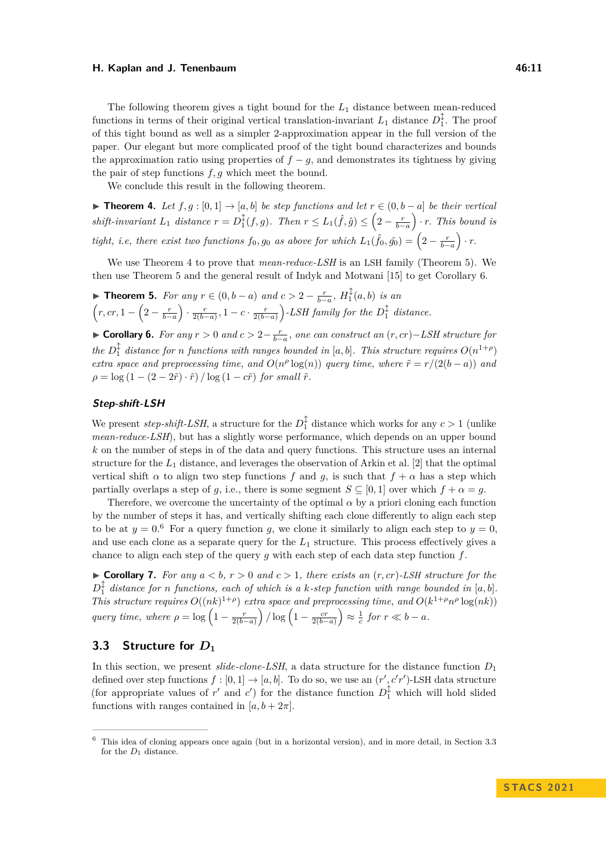The following theorem gives a tight bound for the *L*<sup>1</sup> distance between mean-reduced functions in terms of their original vertical translation-invariant  $L_1$  distance  $D_1^{\updownarrow}$ . The proof of this tight bound as well as a simpler 2-approximation appear in the full version of the paper. Our elegant but more complicated proof of the tight bound characterizes and bounds the approximation ratio using properties of  $f - g$ , and demonstrates its tightness by giving the pair of step functions *f, g* which meet the bound.

We conclude this result in the following theorem.

<span id="page-10-0"></span>▶ **Theorem 4.** *Let*  $f, g : [0, 1] \rightarrow [a, b]$  *be step functions and let*  $r \in (0, b - a]$  *be their vertical*  $shift\text{-}invariant L_1\ distance\ r = D_1^{\updownarrow}(f,g)$ . Then  $r \leq L_1(\hat{f}, \hat{g}) \leq (2 - \frac{r}{b-a}) \cdot r$ . This bound is *tight, i.e, there exist two functions*  $f_0, g_0$  *as above for which*  $L_1(\hat{f}_0, \hat{g}_0) = \left(2 - \frac{r}{b-a}\right) \cdot r$ .

We use Theorem [4](#page-10-0) to prove that *mean-reduce-LSH* is an LSH family (Theorem [5\)](#page-10-1). We then use Theorem [5](#page-10-1) and the general result of Indyk and Motwani [\[15\]](#page-14-4) to get Corollary [6.](#page-10-2)

<span id="page-10-1"></span>▶ **Theorem 5.** *For any*  $r \in (0, b - a)$  *and*  $c > 2 - \frac{r}{b-a}$ ,  $H_1^{\updownarrow}(a, b)$  *is an*  $\left(r, cr, 1 - \left(2 - \frac{r}{b-a}\right) \cdot \frac{r}{2(b-a)}, 1 - c \cdot \frac{r}{2(b-a)}\right)$ -LSH family for the  $D_1^{\updownarrow}$  distance.

<span id="page-10-2"></span>▶ **Corollary 6.** For any  $r > 0$  and  $c > 2 - \frac{r}{b-a}$ , one can construct an  $(r, cr) - LSH$  structure for  $\partial \rho$  *the*  $D_1^{\updownarrow}$  *distance for n functions with ranges bounded in* [*a, b*]*. This structure requires*  $O(n^{1+\rho})$ *extra space and preprocessing time, and*  $O(n^{\rho} \log(n))$  *query time, where*  $\tilde{r} = r/(2(b-a))$  *and*  $\rho = \log (1 - (2 - 2\tilde{r}) \cdot \tilde{r}) / \log (1 - c\tilde{r})$  *for small*  $\tilde{r}$ *.* 

#### **Step-shift-LSH**

We present *step-shift-LSH*, a structure for the  $D_1^{\updownarrow}$  distance which works for any  $c > 1$  (unlike *mean-reduce-LSH*), but has a slightly worse performance, which depends on an upper bound *k* on the number of steps in of the data and query functions. This structure uses an internal structure for the  $L_1$  distance, and leverages the observation of Arkin et al. [\[2\]](#page-14-0) that the optimal vertical shift  $\alpha$  to align two step functions f and q, is such that  $f + \alpha$  has a step which partially overlaps a step of *g*, i.e., there is some segment  $S \subseteq [0,1]$  over which  $f + \alpha = g$ .

Therefore, we overcome the uncertainty of the optimal  $\alpha$  by a priori cloning each function by the number of steps it has, and vertically shifting each clone differently to align each step to be at  $y = 0.6$  $y = 0.6$  For a query function *g*, we clone it similarly to align each step to  $y = 0$ , and use each clone as a separate query for the  $L_1$  structure. This process effectively gives a chance to align each step of the query *g* with each step of each data step function *f*.

 $\triangleright$  **Corollary 7.** For any  $a < b$ ,  $r > 0$  and  $c > 1$ , there exists an  $(r, cr)$ -LSH structure for the  $D_1^{\updownarrow}$  distance for *n* functions, each of which is a *k*-step function with range bounded in [a, b]. *This structure requires*  $O((nk)^{1+\rho})$  *extra space and preprocessing time, and*  $O(k^{1+\rho}n^{\rho} \log(nk))$ *query time, where*  $\rho = \log \left(1 - \frac{r}{2(b-a)}\right) / \log \left(1 - \frac{cr}{2(b-a)}\right) \approx \frac{1}{c}$  for  $r \ll b - a$ .

## <span id="page-10-4"></span>**3.3 Structure for** *D***<sup>1</sup>**

In this section, we present *slide-clone-LSH*, a data structure for the distance function *D*<sup>1</sup> defined over step functions  $f : [0,1] \to [a,b]$ . To do so, we use an  $(r', c'r')$ -LSH data structure (for appropriate values of  $r'$  and  $c'$ ) for the distance function  $D_1^{\updownarrow}$  which will hold slided functions with ranges contained in  $[a, b + 2\pi]$ .

<span id="page-10-3"></span><sup>6</sup> This idea of cloning appears once again (but in a horizontal version), and in more detail, in Section [3.3](#page-10-4) for the  $D_1$  distance.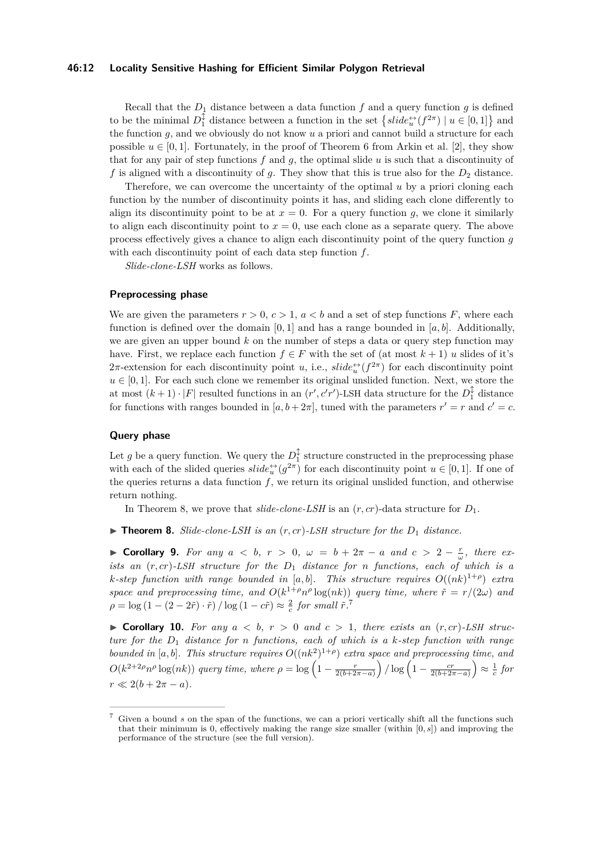#### **46:12 Locality Sensitive Hashing for Efficient Similar Polygon Retrieval**

Recall that the  $D_1$  distance between a data function f and a query function g is defined to be the minimal  $D_1^{\updownarrow}$  distance between a function in the set  $\{slide_u^{\leftrightarrow}(f^{2\pi}) \mid u \in [0,1]\}$  and the function *g*, and we obviously do not know *u* a priori and cannot build a structure for each possible  $u \in [0, 1]$ . Fortunately, in the proof of Theorem 6 from Arkin et al. [\[2\]](#page-14-0), they show that for any pair of step functions *f* and *g*, the optimal slide *u* is such that a discontinuity of f is aligned with a discontinuity of  $q$ . They show that this is true also for the  $D_2$  distance.

Therefore, we can overcome the uncertainty of the optimal *u* by a priori cloning each function by the number of discontinuity points it has, and sliding each clone differently to align its discontinuity point to be at  $x = 0$ . For a query function g, we clone it similarly to align each discontinuity point to  $x = 0$ , use each clone as a separate query. The above process effectively gives a chance to align each discontinuity point of the query function *g* with each discontinuity point of each data step function *f*.

*Slide-clone-LSH* works as follows.

## **Preprocessing phase**

We are given the parameters  $r > 0$ ,  $c > 1$ ,  $a < b$  and a set of step functions F, where each function is defined over the domain  $[0,1]$  and has a range bounded in  $[a, b]$ . Additionally, we are given an upper bound *k* on the number of steps a data or query step function may have. First, we replace each function  $f \in F$  with the set of (at most  $k+1$ ) *u* slides of it's  $2\pi$ -extension for each discontinuity point *u*, i.e.,  $slide_{u}^{\leftrightarrow}(f^{2\pi})$  for each discontinuity point  $u \in [0, 1]$ . For each such clone we remember its original unslided function. Next, we store the at most  $(k+1) \cdot |F|$  resulted functions in an  $(r', c'r')$ -LSH data structure for the  $D_1^{\updownarrow}$  distance for functions with ranges bounded in  $[a, b + 2\pi]$ , tuned with the parameters  $r' = r$  and  $c' = c$ .

#### **Query phase**

Let *g* be a query function. We query the  $D_1^{\updownarrow}$  structure constructed in the preprocessing phase with each of the slided queries  $slide_u^{\leftrightarrow}(g^{2\pi})$  for each discontinuity point  $u \in [0,1]$ . If one of the queries returns a data function *f*, we return its original unslided function, and otherwise return nothing.

In Theorem [8,](#page-11-0) we prove that  $\textit{slide-clone-LSH}$  is an  $(r, cr)$ -data structure for  $D_1$ .

<span id="page-11-0"></span> $\triangleright$  **Theorem 8.** *Slide-clone-LSH is an*  $(r, cr)$ *-LSH structure for the*  $D_1$  *distance.* 

▶ **Corollary 9.** For any  $a < b$ ,  $r > 0$ ,  $\omega = b + 2\pi - a$  and  $c > 2 - \frac{r}{\omega}$ , there ex*ists an* (*r, cr*)*-LSH structure for the D*<sup>1</sup> *distance for n functions, each of which is a k*-step function with range bounded in [a, b]. This structure requires  $O((nk)^{1+\rho})$  extra *space and preprocessing time, and*  $O(k^{1+\rho}n^{\rho}\log(nk))$  *query time, where*  $\tilde{r} = r/(2\omega)$  *and*  $\rho = \log(1 - (2 - 2\tilde{r}) \cdot \tilde{r}) / \log(1 - c\tilde{r}) \approx \frac{2}{c}$  *for small*  $\tilde{r}$ <sup>[7](#page-11-1)</sup>.

 $\triangleright$  **Corollary 10.** For any  $a < b$ ,  $r > 0$  and  $c > 1$ , there exists an  $(r, cr)$ -LSH struc*ture for the D*<sup>1</sup> *distance for n functions, each of which is a k-step function with range bounded in* [a, b]. This structure requires  $O((nk^2)^{1+\rho})$  extra space and preprocessing time, and  $O(k^{2+2\rho}n^{\rho}\log(nk))$  query time, where  $\rho = \log\left(1-\frac{r}{2(b+2\pi-a)}\right)/\log\left(1-\frac{cr}{2(b+2\pi-a)}\right) \approx \frac{1}{c}$  for  $r \ll 2(b+2\pi-a).$ 

<span id="page-11-1"></span>Given a bound *s* on the span of the functions, we can a priori vertically shift all the functions such that their minimum is 0, effectively making the range size smaller (within [0*, s*]) and improving the performance of the structure (see the full version).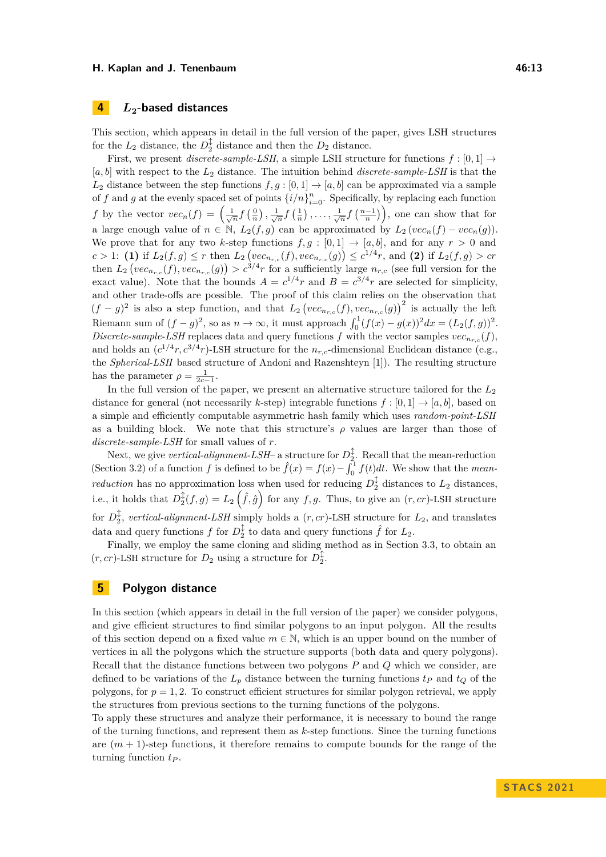## **4** *L***2-based distances**

This section, which appears in detail in the full version of the paper, gives LSH structures for the  $L_2$  distance, the  $D_2^{\updownarrow}$  distance and then the  $D_2$  distance.

First, we present *discrete-sample-LSH*, a simple LSH structure for functions  $f : [0,1] \rightarrow$ [*a, b*] with respect to the *L*<sup>2</sup> distance. The intuition behind *discrete-sample-LSH* is that the  $L_2$  distance between the step functions  $f, g : [0, 1] \to [a, b]$  can be approximated via a sample of *f* and *g* at the evenly spaced set of points  $\{i/n\}_{i=0}^n$ . Specifically, by replacing each function *f* by the vector  $vec_n(f) = \left(\frac{1}{\sqrt{n}} f\left(\frac{0}{n}\right), \frac{1}{\sqrt{n}} f\left(\frac{1}{n}\right), \ldots, \frac{1}{\sqrt{n}} f\left(\frac{n-1}{n}\right)\right)$ , one can show that for a large enough value of  $n \in \mathbb{N}$ ,  $L_2(f,g)$  can be approximated by  $L_2 (vec_n(f) - vec_n(g))$ . We prove that for any two *k*-step functions  $f, g : [0,1] \to [a, b]$ , and for any  $r > 0$  and  $c > 1$ : (1) if  $L_2(f,g) \le r$  then  $L_2(\text{vec}_{n_{r,c}}(f), \text{vec}_{n_{r,c}}(g)) \le c^{1/4}r$ , and (2) if  $L_2(f,g) > cr$ then  $L_2\left(vec_{n_{r,c}}(f),vec_{n_{r,c}}(g)\right) > c^{3/4}r$  for a sufficiently large  $n_{r,c}$  (see full version for the exact value). Note that the bounds  $A = c^{1/4}r$  and  $B = c^{3/4}r$  are selected for simplicity, and other trade-offs are possible. The proof of this claim relies on the observation that  $(f - g)^2$  is also a step function, and that  $L_2 \left( vec_{n_{r,c}}(f), vec_{n_{r,c}}(g) \right)^2$  is actually the left Riemann sum of  $(f - g)^2$ , so as  $n \to \infty$ , it must approach  $\int_0^1 (f(x) - g(x))^2 dx = (L_2(f, g))^2$ . *Discrete-sample-LSH* replaces data and query functions f with the vector samples  $vec_{n_{r,c}}(f)$ , and holds an  $(c^{1/4}r, c^{3/4}r)$ -LSH structure for the  $n_{r,c}$ -dimensional Euclidean distance (e.g., the *Spherical-LSH* based structure of Andoni and Razenshteyn [\[1\]](#page-14-6)). The resulting structure has the parameter  $\rho = \frac{1}{2c-1}$ .

In the full version of the paper, we present an alternative structure tailored for the  $L_2$ distance for general (not necessarily *k*-step) integrable functions  $f : [0,1] \rightarrow [a,b]$ , based on a simple and efficiently computable asymmetric hash family which uses *random-point-LSH* as a building block. We note that this structure's  $\rho$  values are larger than those of *discrete-sample-LSH* for small values of *r*.

Next, we give *vertical-alignment-LSH*– a structure for  $D_2^{\updownarrow}$ . Recall that the mean-reduction (Section [3.2\)](#page-9-0) of a function *f* is defined to be  $\hat{f}(x) = f(x) - \int_0^1 f(t)dt$ . We show that the *meanreduction* has no approximation loss when used for reducing  $D_2^{\updownarrow}$  distances to  $L_2$  distances, i.e., it holds that  $D_2^{\updownarrow}(f,g) = L_2(\hat{f},\hat{g})$  for any  $f,g$ . Thus, to give an  $(r,cr)$ -LSH structure for  $D_2^{\updownarrow}$ , *vertical-alignment-LSH* simply holds a  $(r, cr)$ -LSH structure for  $L_2$ , and translates data and query functions  $f$  for  $D_2^{\updownarrow}$  to data and query functions  $\hat{f}$  for  $L_2$ .

Finally, we employ the same cloning and sliding method as in Section [3.3,](#page-10-4) to obtain an  $(r, cr)$ -LSH structure for  $D_2$  using a structure for  $D_2^{\updownarrow}$ .

## **5 Polygon distance**

In this section (which appears in detail in the full version of the paper) we consider polygons, and give efficient structures to find similar polygons to an input polygon. All the results of this section depend on a fixed value  $m \in \mathbb{N}$ , which is an upper bound on the number of vertices in all the polygons which the structure supports (both data and query polygons). Recall that the distance functions between two polygons *P* and *Q* which we consider, are defined to be variations of the  $L_p$  distance between the turning functions  $t_p$  and  $t_Q$  of the polygons, for  $p = 1, 2$ . To construct efficient structures for similar polygon retrieval, we apply the structures from previous sections to the turning functions of the polygons.

To apply these structures and analyze their performance, it is necessary to bound the range of the turning functions, and represent them as *k*-step functions. Since the turning functions are (*m* + 1)-step functions, it therefore remains to compute bounds for the range of the turning function *t<sup>P</sup>* .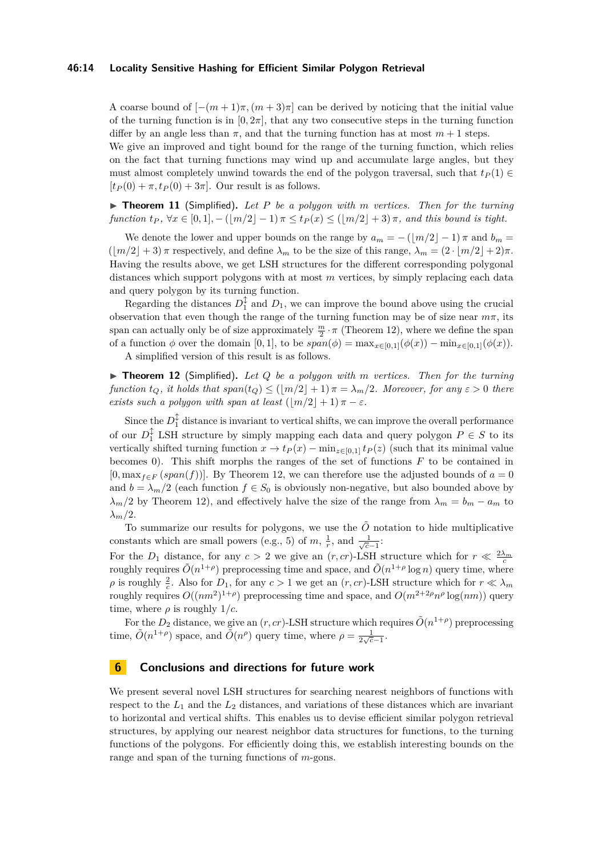#### **46:14 Locality Sensitive Hashing for Efficient Similar Polygon Retrieval**

A coarse bound of  $[-(m+1)\pi,(m+3)\pi]$  can be derived by noticing that the initial value of the turning function is in  $[0, 2\pi]$ , that any two consecutive steps in the turning function differ by an angle less than  $\pi$ , and that the turning function has at most  $m + 1$  steps.

We give an improved and tight bound for the range of the turning function, which relies on the fact that turning functions may wind up and accumulate large angles, but they must almost completely unwind towards the end of the polygon traversal, such that  $t_P(1) \in$  $[t_P(0) + \pi, t_P(0) + 3\pi]$ . Our result is as follows.

▶ **Theorem 11** (Simplified)**.** *Let P be a polygon with m vertices. Then for the turning*  $function t_P, \forall x \in [0,1], -(\lceil m/2 \rceil - 1) \pi \leq t_P(x) \leq (\lceil m/2 \rceil + 3) \pi$ , and this bound is tight.

We denote the lower and upper bounds on the range by  $a_m = -(\lfloor m/2 \rfloor - 1) \pi$  and  $b_m =$  $(\lfloor m/2 \rfloor + 3)$  *π* respectively, and define  $\lambda_m$  to be the size of this range,  $\lambda_m = (2 \cdot \lfloor m/2 \rfloor + 2)\pi$ . Having the results above, we get LSH structures for the different corresponding polygonal distances which support polygons with at most *m* vertices, by simply replacing each data and query polygon by its turning function.

Regarding the distances  $D_1^{\updownarrow}$  and  $D_1$ , we can improve the bound above using the crucial observation that even though the range of the turning function may be of size near  $m\pi$ , its span can actually only be of size approximately  $\frac{m}{2} \cdot \pi$  (Theorem [12\)](#page-13-0), where we define the span of a function  $\phi$  over the domain [0, 1], to be  $span(\phi) = \max_{x \in [0,1]}(\phi(x)) - \min_{x \in [0,1]}(\phi(x)).$ 

A simplified version of this result is as follows.

<span id="page-13-0"></span>▶ **Theorem 12** (Simplified)**.** *Let Q be a polygon with m vertices. Then for the turning function*  $t_Q$ *, it holds that*  $span(t_Q) \leq (\lfloor m/2 \rfloor + 1) \pi = \lambda_m/2$ *. Moreover, for any*  $\varepsilon > 0$  *there exists such a polygon with span at least*  $(\lfloor m/2 \rfloor + 1) \pi - \varepsilon$ *.* 

Since the  $D_1^{\updownarrow}$  distance is invariant to vertical shifts, we can improve the overall performance of our  $D_1^{\updownarrow}$  LSH structure by simply mapping each data and query polygon  $P \in S$  to its vertically shifted turning function  $x \to t_P(x) - \min_{z \in [0,1]} t_P(z)$  (such that its minimal value becomes 0). This shift morphs the ranges of the set of functions *F* to be contained in  $[0, \max_{f \in F} (span(f))]$ . By Theorem [12,](#page-13-0) we can therefore use the adjusted bounds of  $a = 0$ and  $b = \lambda_m/2$  (each function  $f \in S_0$  is obviously non-negative, but also bounded above by  $\lambda_m/2$  by Theorem [12\)](#page-13-0), and effectively halve the size of the range from  $\lambda_m = b_m - a_m$  to *λm/*2.

To summarize our results for polygons, we use the  $\tilde{O}$  notation to hide multiplicative constants which are small powers (e.g., 5) of  $m, \frac{1}{r}$ , and  $\frac{1}{\sqrt{c-1}}$ :

For the  $D_1$  distance, for any  $c > 2$  we give an  $(r, cr)$ -LSH structure which for  $r \ll \frac{2\lambda_m}{c}$ roughly requires  $O(n^{1+\rho})$  preprocessing time and space, and  $O(n^{1+\rho}\log n)$  query time, where  $\rho$  is roughly  $\frac{2}{c}$ . Also for  $D_1$ , for any  $c > 1$  we get an  $(r, cr)$ -LSH structure which for  $r \ll \lambda_m$ roughly requires  $O((nm^2)^{1+\rho})$  preprocessing time and space, and  $O(m^{2+2\rho}n^{\rho} \log(nm))$  query time, where  $\rho$  is roughly  $1/c$ .

For the  $D_2$  distance, we give an  $(r, cr)$ -LSH structure which requires  $\tilde{O}(n^{1+\rho})$  preprocessing time,  $\tilde{O}(n^{1+\rho})$  space, and  $\tilde{O}(n^{\rho})$  query time, where  $\rho = \frac{1}{2\sqrt{c}-1}$ .

### **6 Conclusions and directions for future work**

We present several novel LSH structures for searching nearest neighbors of functions with respect to the  $L_1$  and the  $L_2$  distances, and variations of these distances which are invariant to horizontal and vertical shifts. This enables us to devise efficient similar polygon retrieval structures, by applying our nearest neighbor data structures for functions, to the turning functions of the polygons. For efficiently doing this, we establish interesting bounds on the range and span of the turning functions of *m*-gons.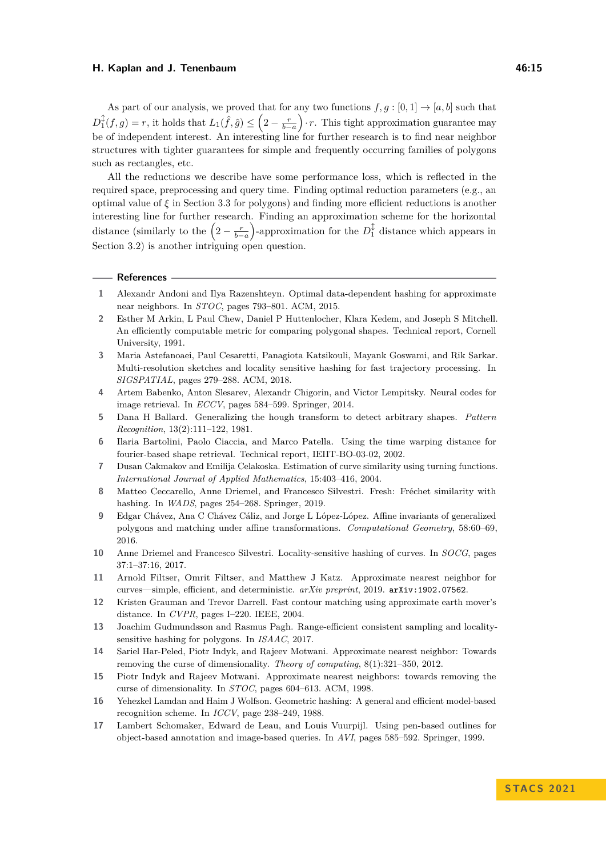As part of our analysis, we proved that for any two functions  $f, g : [0, 1] \rightarrow [a, b]$  such that  $D_1^{\updownarrow}(f,g) = r$ , it holds that  $L_1(\hat{f}, \hat{g}) \leq (2 - \frac{r}{b-a}) \cdot r$ . This tight approximation guarantee may be of independent interest. An interesting line for further research is to find near neighbor structures with tighter guarantees for simple and frequently occurring families of polygons such as rectangles, etc.

All the reductions we describe have some performance loss, which is reflected in the required space, preprocessing and query time. Finding optimal reduction parameters (e.g., an optimal value of *ξ* in Section [3.3](#page-10-4) for polygons) and finding more efficient reductions is another interesting line for further research. Finding an approximation scheme for the horizontal distance (similarly to the  $\left(2-\frac{r}{b-a}\right)$ -approximation for the  $D_1^{\updownarrow}$  distance which appears in Section [3.2\)](#page-9-0) is another intriguing open question.

#### **References**

- <span id="page-14-6"></span>**1** Alexandr Andoni and Ilya Razenshteyn. Optimal data-dependent hashing for approximate near neighbors. In *STOC*, pages 793–801. ACM, 2015.
- <span id="page-14-0"></span>**2** Esther M Arkin, L Paul Chew, Daniel P Huttenlocher, Klara Kedem, and Joseph S Mitchell. An efficiently computable metric for comparing polygonal shapes. Technical report, Cornell University, 1991.
- <span id="page-14-15"></span>**3** Maria Astefanoaei, Paul Cesaretti, Panagiota Katsikouli, Mayank Goswami, and Rik Sarkar. Multi-resolution sketches and locality sensitive hashing for fast trajectory processing. In *SIGSPATIAL*, pages 279–288. ACM, 2018.
- <span id="page-14-7"></span>**4** Artem Babenko, Anton Slesarev, Alexandr Chigorin, and Victor Lempitsky. Neural codes for image retrieval. In *ECCV*, pages 584–599. Springer, 2014.
- <span id="page-14-2"></span>**5** Dana H Ballard. Generalizing the hough transform to detect arbitrary shapes. *Pattern Recognition*, 13(2):111–122, 1981.
- <span id="page-14-10"></span>**6** Ilaria Bartolini, Paolo Ciaccia, and Marco Patella. Using the time warping distance for fourier-based shape retrieval. Technical report, IEIIT-BO-03-02, 2002.
- <span id="page-14-9"></span>**7** Dusan Cakmakov and Emilija Celakoska. Estimation of curve similarity using turning functions. *International Journal of Applied Mathematics*, 15:403–416, 2004.
- <span id="page-14-13"></span>**8** Matteo Ceccarello, Anne Driemel, and Francesco Silvestri. Fresh: Fréchet similarity with hashing. In *WADS*, pages 254–268. Springer, 2019.
- <span id="page-14-11"></span>**9** Edgar Chávez, Ana C Chávez Cáliz, and Jorge L López-López. Affine invariants of generalized polygons and matching under affine transformations. *Computational Geometry*, 58:60–69, 2016.
- <span id="page-14-12"></span>**10** Anne Driemel and Francesco Silvestri. Locality-sensitive hashing of curves. In *SOCG*, pages 37:1–37:16, 2017.
- <span id="page-14-14"></span>**11** Arnold Filtser, Omrit Filtser, and Matthew J Katz. Approximate nearest neighbor for curves—simple, efficient, and deterministic. *arXiv preprint*, 2019. [arXiv:1902.07562](http://arxiv.org/abs/1902.07562).
- <span id="page-14-16"></span>**12** Kristen Grauman and Trevor Darrell. Fast contour matching using approximate earth mover's distance. In *CVPR*, pages I–220. IEEE, 2004.
- <span id="page-14-8"></span>**13** Joachim Gudmundsson and Rasmus Pagh. Range-efficient consistent sampling and localitysensitive hashing for polygons. In *ISAAC*, 2017.
- <span id="page-14-5"></span>**14** Sariel Har-Peled, Piotr Indyk, and Rajeev Motwani. Approximate nearest neighbor: Towards removing the curse of dimensionality. *Theory of computing*, 8(1):321–350, 2012.
- <span id="page-14-4"></span>**15** Piotr Indyk and Rajeev Motwani. Approximate nearest neighbors: towards removing the curse of dimensionality. In *STOC*, pages 604–613. ACM, 1998.
- <span id="page-14-3"></span>**16** Yehezkel Lamdan and Haim J Wolfson. Geometric hashing: A general and efficient model-based recognition scheme. In *ICCV*, page 238–249, 1988.
- <span id="page-14-1"></span>**17** Lambert Schomaker, Edward de Leau, and Louis Vuurpijl. Using pen-based outlines for object-based annotation and image-based queries. In *AVI*, pages 585–592. Springer, 1999.